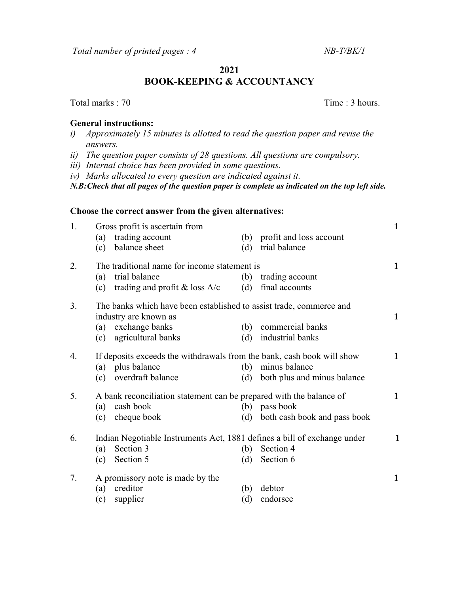Total number of printed pages : 4 NB-T/BK/1

2021

BOOK-KEEPING & ACCOUNTANCY

## General instructions:

- i) Approximately 15 minutes is allotted to read the question paper and revise the answers.
- ii) The question paper consists of 28 questions. All questions are compulsory.
- iii) Internal choice has been provided in some questions.
- iv) Marks allocated to every question are indicated against it.

N.B:Check that all pages of the question paper is complete as indicated on the top left side.

## Choose the correct answer from the given alternatives:

| 1. | Gross profit is ascertain from<br>(a) trading account<br>balance sheet<br>(c) |                                                                                  | (b)<br>(d) | profit and loss account<br>trial balance                                                                               | $\mathbf{1}$ |
|----|-------------------------------------------------------------------------------|----------------------------------------------------------------------------------|------------|------------------------------------------------------------------------------------------------------------------------|--------------|
| 2. | trial balance<br>(a)<br>(c)                                                   | The traditional name for income statement is<br>trading and profit $\&$ loss A/c | (b)<br>(d) | trading account<br>final accounts                                                                                      | 1            |
| 3. | industry are known as<br>(a) exchange banks<br>agricultural banks<br>(c)      |                                                                                  | (b)<br>(d) | The banks which have been established to assist trade, commerce and<br>commercial banks<br>industrial banks            | 1            |
| 4. | (a) plus balance<br>overdraft balance<br>(c)                                  |                                                                                  | (b)<br>(d) | If deposits exceeds the withdrawals from the bank, cash book will show<br>minus balance<br>both plus and minus balance | $\mathbf{1}$ |
| 5. | cash book<br>(a)<br>cheque book<br>(c)                                        |                                                                                  | (b)<br>(d) | A bank reconciliation statement can be prepared with the balance of<br>pass book<br>both cash book and pass book       | 1            |
| 6. | Section 3<br>(a)<br>Section 5<br>(c)                                          |                                                                                  | (b)<br>(d) | Indian Negotiable Instruments Act, 1881 defines a bill of exchange under<br>Section 4<br>Section 6                     | $\mathbf 1$  |
| 7. | creditor<br>(a)<br>supplier<br>(c)                                            | A promissory note is made by the                                                 | (b)<br>(d) | debtor<br>endorsee                                                                                                     | 1            |

## Total marks : 70 Time : 3 hours.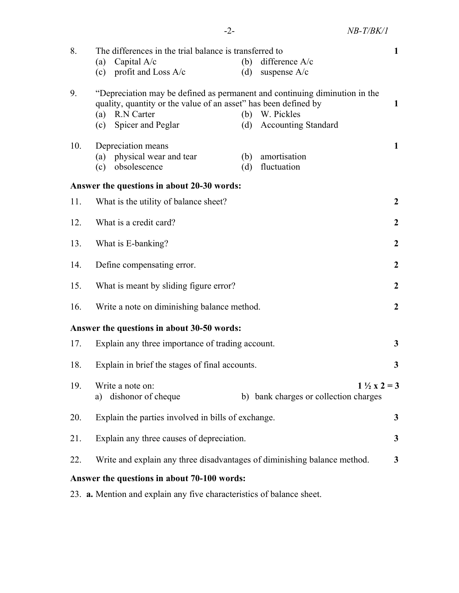| 8.  | The differences in the trial balance is transferred to                                                                                                                                                                                                             |                                                                |              |  |  |  |  |  |
|-----|--------------------------------------------------------------------------------------------------------------------------------------------------------------------------------------------------------------------------------------------------------------------|----------------------------------------------------------------|--------------|--|--|--|--|--|
|     | Capital A/c<br>(a)                                                                                                                                                                                                                                                 | difference A/c<br>(b)                                          |              |  |  |  |  |  |
|     | (c) profit and Loss $A/c$                                                                                                                                                                                                                                          | suspense $A/c$<br>(d)                                          |              |  |  |  |  |  |
| 9.  | "Depreciation may be defined as permanent and continuing diminution in the<br>quality, quantity or the value of an asset" has been defined by<br>$\mathbf{1}$<br>R.N Carter<br>(b) W. Pickles<br>(a)<br>(c) Spicer and Peglar<br><b>Accounting Standard</b><br>(d) |                                                                |              |  |  |  |  |  |
| 10. | Depreciation means<br>(a) physical wear and tear<br>obsolescence<br>(c)                                                                                                                                                                                            | amortisation<br>(b)<br>(d) fluctuation                         | $\mathbf{1}$ |  |  |  |  |  |
|     | Answer the questions in about 20-30 words:                                                                                                                                                                                                                         |                                                                |              |  |  |  |  |  |
| 11. | What is the utility of balance sheet?                                                                                                                                                                                                                              |                                                                |              |  |  |  |  |  |
| 12. | What is a credit card?                                                                                                                                                                                                                                             |                                                                |              |  |  |  |  |  |
| 13. | What is E-banking?<br>$\boldsymbol{2}$                                                                                                                                                                                                                             |                                                                |              |  |  |  |  |  |
| 14. | $\boldsymbol{2}$<br>Define compensating error.                                                                                                                                                                                                                     |                                                                |              |  |  |  |  |  |
| 15. | What is meant by sliding figure error?                                                                                                                                                                                                                             |                                                                |              |  |  |  |  |  |
| 16. | Write a note on diminishing balance method.                                                                                                                                                                                                                        |                                                                |              |  |  |  |  |  |
|     | Answer the questions in about 30-50 words:                                                                                                                                                                                                                         |                                                                |              |  |  |  |  |  |
| 17. | $\mathbf{3}$<br>Explain any three importance of trading account.                                                                                                                                                                                                   |                                                                |              |  |  |  |  |  |
| 18. | 3<br>Explain in brief the stages of final accounts.                                                                                                                                                                                                                |                                                                |              |  |  |  |  |  |
| 19. | Write a note on:<br>dishonor of cheque<br>a)                                                                                                                                                                                                                       | $1\frac{1}{2}x^2 = 3$<br>b) bank charges or collection charges |              |  |  |  |  |  |
| 20. | Explain the parties involved in bills of exchange.<br>3                                                                                                                                                                                                            |                                                                |              |  |  |  |  |  |
| 21. | Explain any three causes of depreciation.<br>3                                                                                                                                                                                                                     |                                                                |              |  |  |  |  |  |
| 22. | Write and explain any three disadvantages of diminishing balance method.<br>3                                                                                                                                                                                      |                                                                |              |  |  |  |  |  |
|     | Answer the questions in about 70-100 words:                                                                                                                                                                                                                        |                                                                |              |  |  |  |  |  |
|     |                                                                                                                                                                                                                                                                    |                                                                |              |  |  |  |  |  |

23. a. Mention and explain any five characteristics of balance sheet.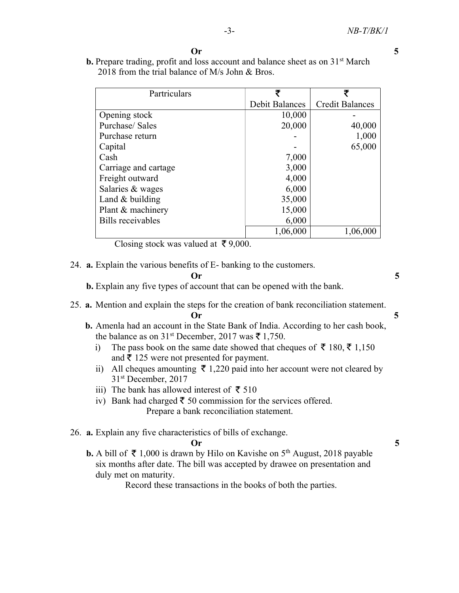| <b>Or</b> |
|-----------|
|           |

b. Prepare trading, profit and loss account and balance sheet as on 31<sup>st</sup> March 2018 from the trial balance of M/s John & Bros.

| Partriculars             | ₹                     | ₹                      |
|--------------------------|-----------------------|------------------------|
|                          | <b>Debit Balances</b> | <b>Credit Balances</b> |
| Opening stock            | 10,000                |                        |
| Purchase/Sales           | 20,000                | 40,000                 |
| Purchase return          |                       | 1,000                  |
| Capital                  |                       | 65,000                 |
| Cash                     | 7,000                 |                        |
| Carriage and cartage     | 3,000                 |                        |
| Freight outward          | 4,000                 |                        |
| Salaries & wages         | 6,000                 |                        |
| Land $&$ building        | 35,000                |                        |
| Plant & machinery        | 15,000                |                        |
| <b>Bills</b> receivables | 6,000                 |                        |
|                          | 1,06,000              | 1,06,000               |

Closing stock was valued at  $\bar{\tau}$  9,000.

24. a. Explain the various benefits of E- banking to the customers.

 $\sigma$  5

b. Explain any five types of account that can be opened with the bank.

- 25. a. Mention and explain the steps for the creation of bank reconciliation statement. Or 5
	- b. Amenla had an account in the State Bank of India. According to her cash book, the balance as on 31<sup>st</sup> December, 2017 was  $\bar{\xi}$  1,750.
		- i) The pass book on the same date showed that cheques of  $\bar{\tau}$  180,  $\bar{\tau}$  1,150 and  $\bar{\tau}$  125 were not presented for payment.
		- ii) All cheques amounting  $\bar{\tau}$  1,220 paid into her account were not cleared by 31st December, 2017
		- iii) The bank has allowed interest of  $\bar{\tau}$  510
		- iv) Bank had charged  $\bar{\xi}$  50 commission for the services offered. Prepare a bank reconciliation statement.
- 26. a. Explain any five characteristics of bills of exchange.

## $\sigma$  5

**b.** A bill of  $\bar{\tau}$  1,000 is drawn by Hilo on Kavishe on 5<sup>th</sup> August, 2018 payable six months after date. The bill was accepted by drawee on presentation and duly met on maturity.

Record these transactions in the books of both the parties.